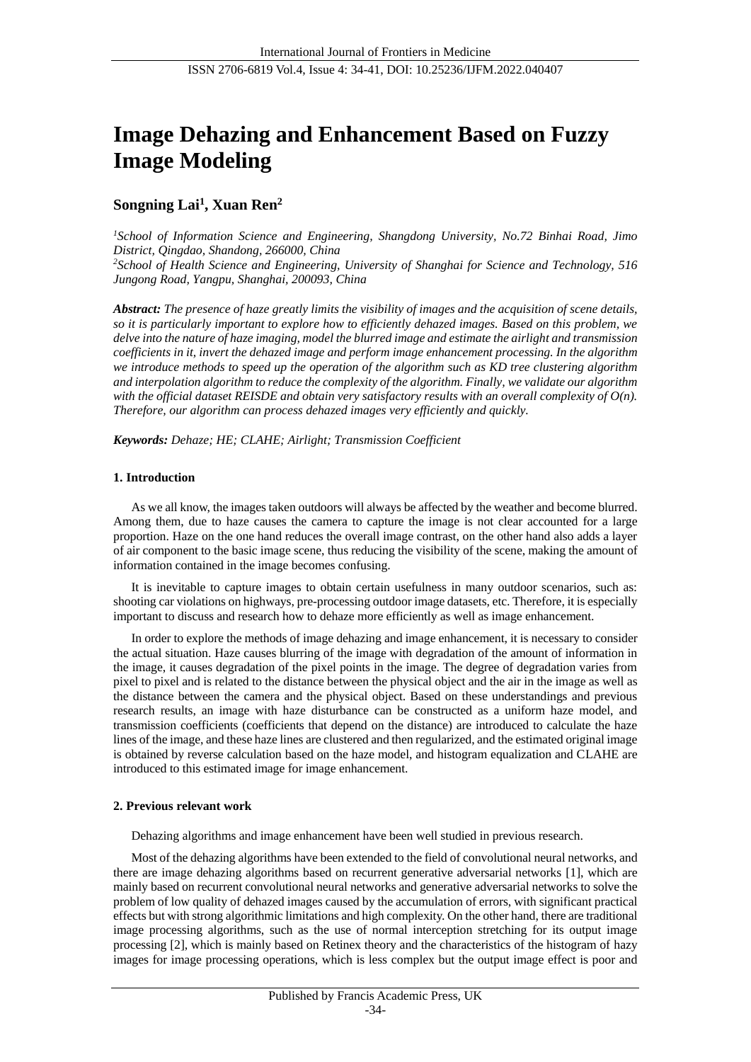# **Image Dehazing and Enhancement Based on Fuzzy Image Modeling**

# **Songning Lai<sup>1</sup> , Xuan Ren<sup>2</sup>**

*<sup>1</sup>School of Information Science and Engineering, Shangdong University, No.72 Binhai Road, Jimo District, Qingdao, Shandong, 266000, China <sup>2</sup>School of Health Science and Engineering, University of Shanghai for Science and Technology, 516 Jungong Road, Yangpu, Shanghai, 200093, China*

*Abstract: The presence of haze greatly limits the visibility of images and the acquisition of scene details, so it is particularly important to explore how to efficiently dehazed images. Based on this problem, we delve into the nature of haze imaging, model the blurred image and estimate the airlight and transmission coefficients in it, invert the dehazed image and perform image enhancement processing. In the algorithm we introduce methods to speed up the operation of the algorithm such as KD tree clustering algorithm and interpolation algorithm to reduce the complexity of the algorithm. Finally, we validate our algorithm with the official dataset REISDE and obtain very satisfactory results with an overall complexity of O(n). Therefore, our algorithm can process dehazed images very efficiently and quickly.*

*Keywords: Dehaze; HE; CLAHE; Airlight; Transmission Coefficient*

# **1. Introduction**

As we all know, the images taken outdoors will always be affected by the weather and become blurred. Among them, due to haze causes the camera to capture the image is not clear accounted for a large proportion. Haze on the one hand reduces the overall image contrast, on the other hand also adds a layer of air component to the basic image scene, thus reducing the visibility of the scene, making the amount of information contained in the image becomes confusing.

It is inevitable to capture images to obtain certain usefulness in many outdoor scenarios, such as: shooting car violations on highways, pre-processing outdoor image datasets, etc. Therefore, it is especially important to discuss and research how to dehaze more efficiently as well as image enhancement.

In order to explore the methods of image dehazing and image enhancement, it is necessary to consider the actual situation. Haze causes blurring of the image with degradation of the amount of information in the image, it causes degradation of the pixel points in the image. The degree of degradation varies from pixel to pixel and is related to the distance between the physical object and the air in the image as well as the distance between the camera and the physical object. Based on these understandings and previous research results, an image with haze disturbance can be constructed as a uniform haze model, and transmission coefficients (coefficients that depend on the distance) are introduced to calculate the haze lines of the image, and these haze lines are clustered and then regularized, and the estimated original image is obtained by reverse calculation based on the haze model, and histogram equalization and CLAHE are introduced to this estimated image for image enhancement.

# **2. Previous relevant work**

Dehazing algorithms and image enhancement have been well studied in previous research.

Most of the dehazing algorithms have been extended to the field of convolutional neural networks, and there are image dehazing algorithms based on recurrent generative adversarial networks [1], which are mainly based on recurrent convolutional neural networks and generative adversarial networks to solve the problem of low quality of dehazed images caused by the accumulation of errors, with significant practical effects but with strong algorithmic limitations and high complexity. On the other hand, there are traditional image processing algorithms, such as the use of normal interception stretching for its output image processing [2], which is mainly based on Retinex theory and the characteristics of the histogram of hazy images for image processing operations, which is less complex but the output image effect is poor and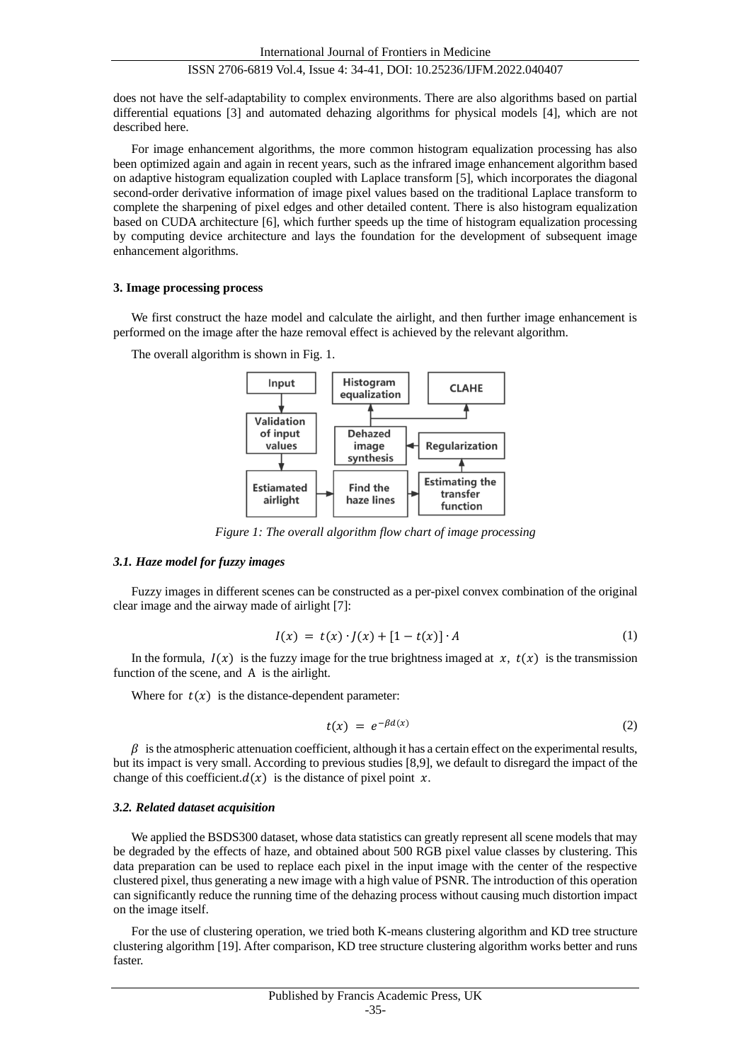does not have the self-adaptability to complex environments. There are also algorithms based on partial differential equations [3] and automated dehazing algorithms for physical models [4], which are not described here.

For image enhancement algorithms, the more common histogram equalization processing has also been optimized again and again in recent years, such as the infrared image enhancement algorithm based on adaptive histogram equalization coupled with Laplace transform [5], which incorporates the diagonal second-order derivative information of image pixel values based on the traditional Laplace transform to complete the sharpening of pixel edges and other detailed content. There is also histogram equalization based on CUDA architecture [6], which further speeds up the time of histogram equalization processing by computing device architecture and lays the foundation for the development of subsequent image enhancement algorithms.

#### **3. Image processing process**

We first construct the haze model and calculate the airlight, and then further image enhancement is performed on the image after the haze removal effect is achieved by the relevant algorithm.

The overall algorithm is shown in Fig. 1.



*Figure 1: The overall algorithm flow chart of image processing*

#### *3.1. Haze model for fuzzy images*

Fuzzy images in different scenes can be constructed as a per-pixel convex combination of the original clear image and the airway made of airlight [7]:

$$
I(x) = t(x) \cdot J(x) + [1 - t(x)] \cdot A \tag{1}
$$

In the formula,  $I(x)$  is the fuzzy image for the true brightness imaged at  $x$ ,  $t(x)$  is the transmission function of the scene, and A is the airlight.

Where for  $t(x)$  is the distance-dependent parameter:

$$
t(x) = e^{-\beta d(x)} \tag{2}
$$

 $\beta$  is the atmospheric attenuation coefficient, although it has a certain effect on the experimental results, but its impact is very small. According to previous studies [8,9], we default to disregard the impact of the change of this coefficient. $d(x)$  is the distance of pixel point x.

## *3.2. Related dataset acquisition*

We applied the BSDS300 dataset, whose data statistics can greatly represent all scene models that may be degraded by the effects of haze, and obtained about 500 RGB pixel value classes by clustering. This data preparation can be used to replace each pixel in the input image with the center of the respective clustered pixel, thus generating a new image with a high value of PSNR. The introduction of this operation can significantly reduce the running time of the dehazing process without causing much distortion impact on the image itself.

For the use of clustering operation, we tried both K-means clustering algorithm and KD tree structure clustering algorithm [19]. After comparison, KD tree structure clustering algorithm works better and runs faster.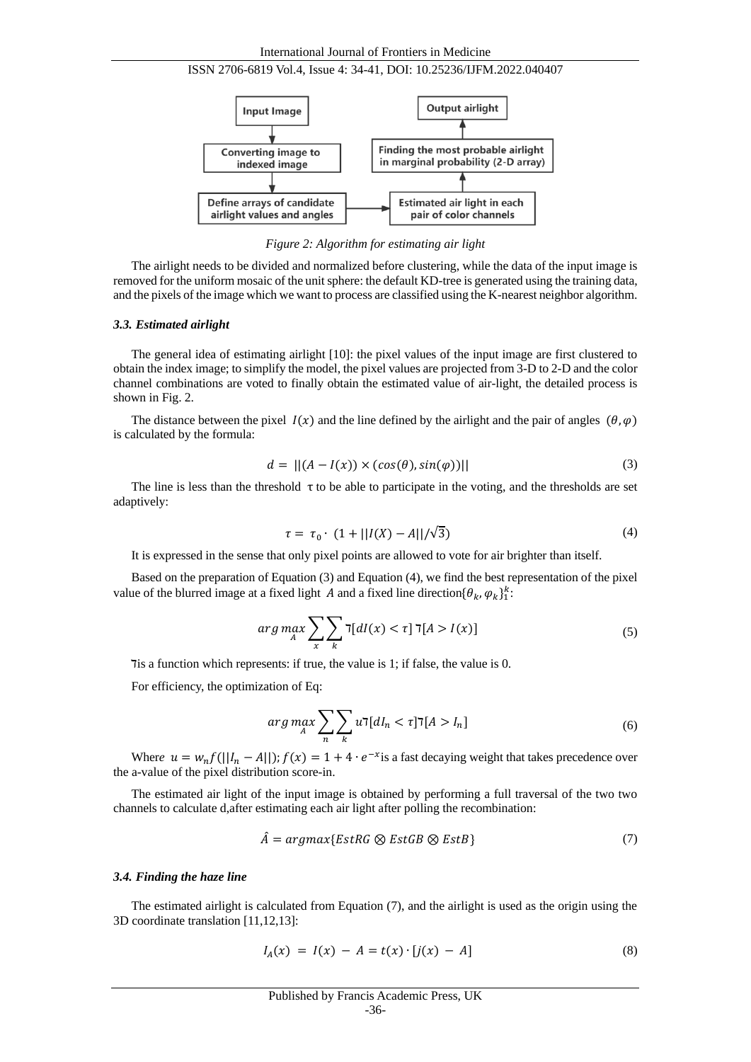



*Figure 2: Algorithm for estimating air light*

The airlight needs to be divided and normalized before clustering, while the data of the input image is removed for the uniform mosaic of the unit sphere: the default KD-tree is generated using the training data, and the pixels of the image which we want to process are classified using the K-nearest neighbor algorithm.

#### *3.3. Estimated airlight*

The general idea of estimating airlight [10]: the pixel values of the input image are first clustered to obtain the index image; to simplify the model, the pixel values are projected from 3-D to 2-D and the color channel combinations are voted to finally obtain the estimated value of air-light, the detailed process is shown in Fig. 2.

The distance between the pixel  $I(x)$  and the line defined by the airlight and the pair of angles  $(\theta, \varphi)$ is calculated by the formula:

$$
d = ||(A - I(x)) \times (cos(\theta), sin(\varphi))|| \qquad (3)
$$

The line is less than the threshold  $\tau$  to be able to participate in the voting, and the thresholds are set adaptively:

$$
\tau = \tau_0 \cdot (1 + ||I(X) - A|| / \sqrt{3}) \tag{4}
$$

It is expressed in the sense that only pixel points are allowed to vote for air brighter than itself.

Based on the preparation of Equation (3) and Equation (4), we find the best representation of the pixel value of the blurred image at a fixed light A and a fixed line direction  $\{\theta_k, \varphi_k\}_1^k$ :

$$
\arg\max_{A} \sum_{x} \sum_{k} \mathbf{I}[dI(x) < \tau] \mathbf{I}[A > I(x)] \tag{5}
$$

The a function which represents: if true, the value is 1; if false, the value is 0.

For efficiency, the optimization of Eq:

$$
\arg\max_{A} \sum_{n} \sum_{k} u \mathbf{T}[dI_n < \tau] \mathbf{T}[A > I_n] \tag{6}
$$

Where  $u = w_n f(||I_n - A||)$ ;  $f(x) = 1 + 4 \cdot e^{-x}$  is a fast decaying weight that takes precedence over the a-value of the pixel distribution score-in.

The estimated air light of the input image is obtained by performing a full traversal of the two two channels to calculate d,after estimating each air light after polling the recombination:

$$
\hat{A} = argmax\{EstRG \otimes EstGB \otimes EstB\}
$$
 (7)

#### *3.4. Finding the haze line*

The estimated airlight is calculated from Equation (7), and the airlight is used as the origin using the 3D coordinate translation [11,12,13]:

$$
I_A(x) = I(x) - A = t(x) \cdot [j(x) - A]
$$
\n(8)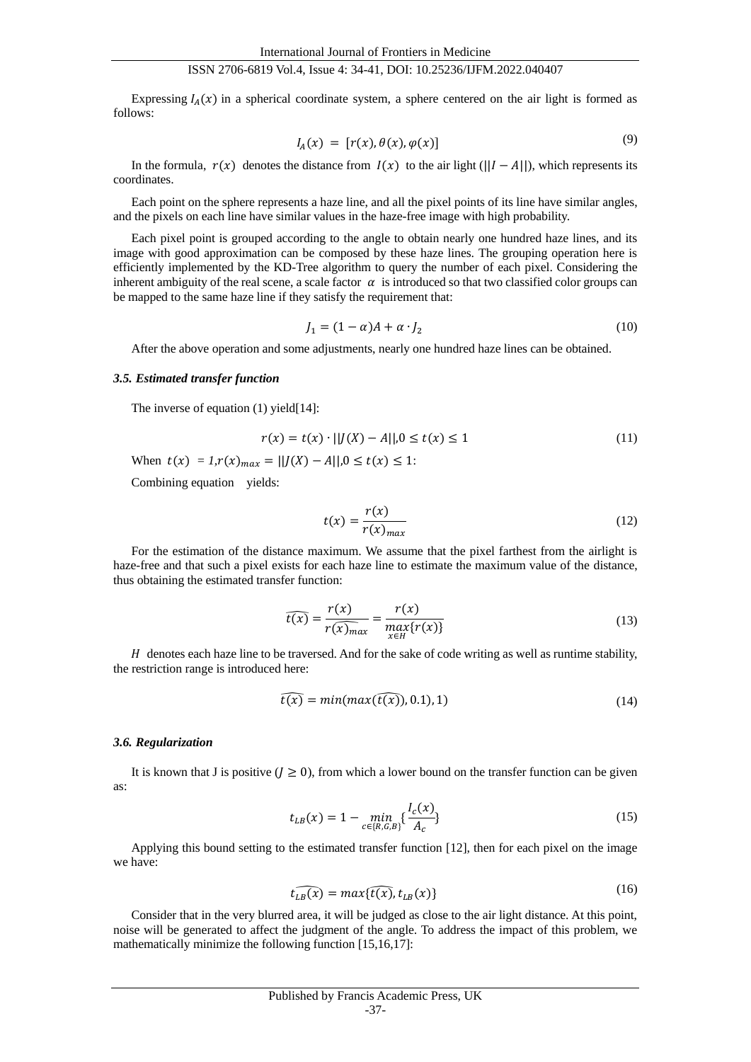Expressing  $I_A(x)$  in a spherical coordinate system, a sphere centered on the air light is formed as follows:

$$
I_A(x) = [r(x), \theta(x), \varphi(x)] \tag{9}
$$

In the formula,  $r(x)$  denotes the distance from  $I(x)$  to the air light ( $\frac{|I - A|}{|I - A|}$ ), which represents its coordinates.

Each point on the sphere represents a haze line, and all the pixel points of its line have similar angles, and the pixels on each line have similar values in the haze-free image with high probability.

Each pixel point is grouped according to the angle to obtain nearly one hundred haze lines, and its image with good approximation can be composed by these haze lines. The grouping operation here is efficiently implemented by the KD-Tree algorithm to query the number of each pixel. Considering the inherent ambiguity of the real scene, a scale factor  $\alpha$  is introduced so that two classified color groups can be mapped to the same haze line if they satisfy the requirement that:

$$
J_1 = (1 - \alpha)A + \alpha \cdot J_2 \tag{10}
$$

After the above operation and some adjustments, nearly one hundred haze lines can be obtained.

## *3.5. Estimated transfer function*

The inverse of equation (1) yield[14]:

$$
r(x) = t(x) \cdot ||J(X) - A||, 0 \le t(x) \le 1
$$
\n(11)

When  $t(x) = 1, r(x)_{max} = ||f(x) - A||, 0 \le t(x) \le 1$ :

Combining equation yields:

$$
t(x) = \frac{r(x)}{r(x)_{max}}\tag{12}
$$

For the estimation of the distance maximum. We assume that the pixel farthest from the airlight is haze-free and that such a pixel exists for each haze line to estimate the maximum value of the distance, thus obtaining the estimated transfer function:

$$
\widehat{t(x)} = \frac{r(x)}{r(\widehat{x})_{max}} = \frac{r(x)}{\max_{x \in H} \{r(x)\}}
$$
(13)

 $H$  denotes each haze line to be traversed. And for the sake of code writing as well as runtime stability, the restriction range is introduced here:

$$
\widehat{t(x)} = min(max(\widehat{t(x)}), 0.1), 1)
$$
\n(14)

#### *3.6. Regularization*

It is known that J is positive  $(I \ge 0)$ , from which a lower bound on the transfer function can be given as:

$$
t_{LB}(x) = 1 - \min_{c \in \{R, G, B\}} \{ \frac{I_c(x)}{A_c} \}
$$
\n(15)

Applying this bound setting to the estimated transfer function [12], then for each pixel on the image we have:

$$
\widehat{t_{LB}(x)} = max\{\widehat{t(x)}, t_{LB}(x)\}\tag{16}
$$

Consider that in the very blurred area, it will be judged as close to the air light distance. At this point, noise will be generated to affect the judgment of the angle. To address the impact of this problem, we mathematically minimize the following function [15,16,17]: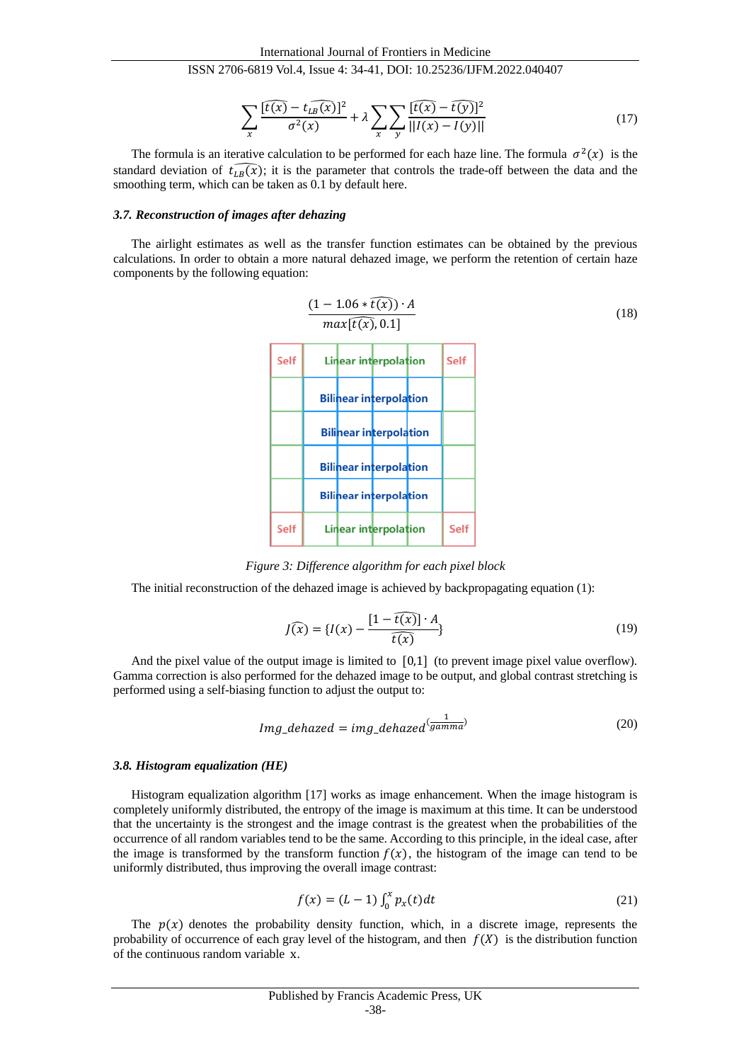$$
\sum_{x} \frac{[\widehat{t(x)} - t_{\widehat{LB}}(\widehat{x})]^2}{\sigma^2(x)} + \lambda \sum_{x} \sum_{y} \frac{[\widehat{t(x)} - \widehat{t(y)}]^2}{||I(x) - I(y)||}
$$
(17)

The formula is an iterative calculation to be performed for each haze line. The formula  $\sigma^2(x)$  is the standard deviation of  $\widehat{t_{LB}(x)}$ ; it is the parameter that controls the trade-off between the data and the smoothing term, which can be taken as 0.1 by default here.

## *3.7. Reconstruction of images after dehazing*

The airlight estimates as well as the transfer function estimates can be obtained by the previous calculations. In order to obtain a more natural dehazed image, we perform the retention of certain haze components by the following equation:

| $(1 - 1.06 * \overline{t(x)}) \cdot A$ | $(18)$               |                      |
|----------------------------------------|----------------------|----------------------|
| $\text{Self}$                          | Linear interpolation | Self                 |
| Bilinear interpolation                 | Self                 |                      |
| Bilinear interpolation                 | Self                 |                      |
| Bilinear interpolation                 |                      |                      |
| Bilinear interpolation                 |                      |                      |
| Bilinear interpolation                 |                      |                      |
| Bilinear interpolation                 | Self                 | Linear interpolation |
| Self                                   | Linear interpolation | Self                 |

*Figure 3: Difference algorithm for each pixel block*

The initial reconstruction of the dehazed image is achieved by backpropagating equation  $(1)$ :

$$
J(\widehat{x}) = \{I(x) - \frac{[1 - \widehat{t(x)}] \cdot A}{\widehat{t(x)}}\}
$$
\n(19)

And the pixel value of the output image is limited to  $[0,1]$  (to prevent image pixel value overflow). Gamma correction is also performed for the dehazed image to be output, and global contrast stretching is performed using a self-biasing function to adjust the output to:

$$
Img\_dehaxed = img\_dehazed^{\left(\frac{1}{gamma}\right)}\tag{20}
$$

## *3.8. Histogram equalization (HE)*

Histogram equalization algorithm [17] works as image enhancement. When the image histogram is completely uniformly distributed, the entropy of the image is maximum at this time. It can be understood that the uncertainty is the strongest and the image contrast is the greatest when the probabilities of the occurrence of all random variables tend to be the same. According to this principle, in the ideal case, after the image is transformed by the transform function  $f(x)$ , the histogram of the image can tend to be uniformly distributed, thus improving the overall image contrast:

$$
f(x) = (L - 1) \int_0^x p_x(t) dt
$$
 (21)

The  $p(x)$  denotes the probability density function, which, in a discrete image, represents the probability of occurrence of each gray level of the histogram, and then  $f(X)$  is the distribution function of the continuous random variable x.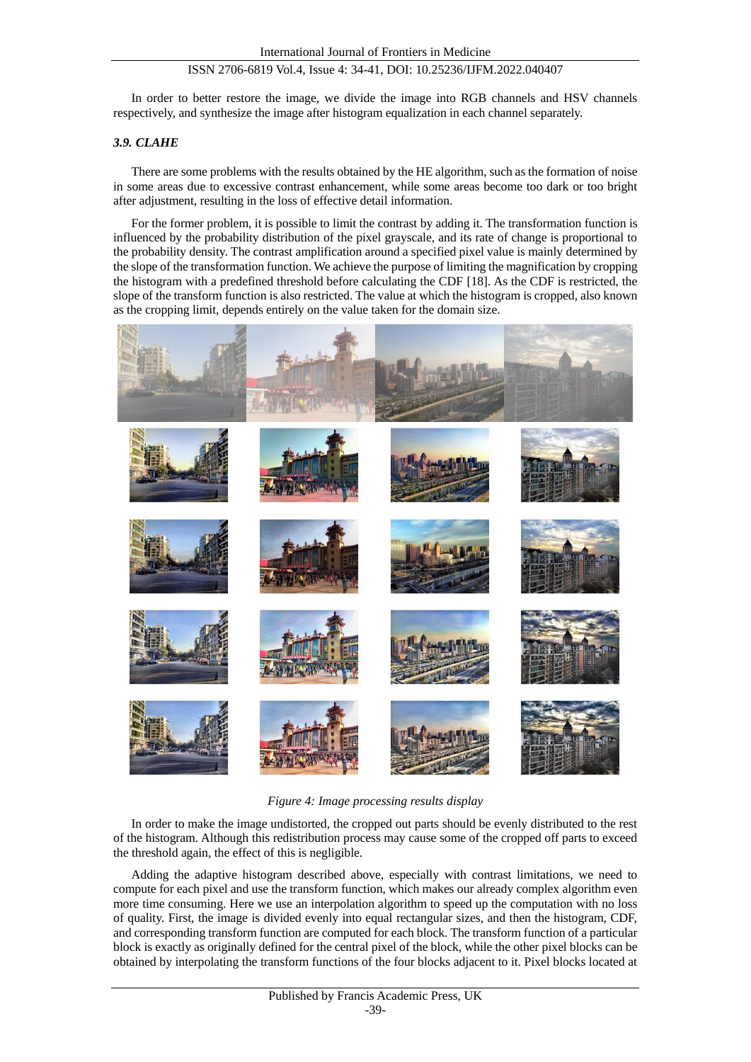In order to better restore the image, we divide the image into RGB channels and HSV channels respectively, and synthesize the image after histogram equalization in each channel separately.

# *3.9. CLAHE*

There are some problems with the results obtained by the HE algorithm, such as the formation of noise in some areas due to excessive contrast enhancement, while some areas become too dark or too bright after adjustment, resulting in the loss of effective detail information.

For the former problem, it is possible to limit the contrast by adding it. The transformation function is influenced by the probability distribution of the pixel grayscale, and its rate of change is proportional to the probability density. The contrast amplification around a specified pixel value is mainly determined by the slope of the transformation function. We achieve the purpose of limiting the magnification by cropping the histogram with a predefined threshold before calculating the CDF [18]. As the CDF is restricted, the slope of the transform function is also restricted. The value at which the histogram is cropped, also known as the cropping limit, depends entirely on the value taken for the domain size.



*Figure 4: Image processing results display*

In order to make the image undistorted, the cropped out parts should be evenly distributed to the rest of the histogram. Although this redistribution process may cause some of the cropped off parts to exceed the threshold again, the effect of this is negligible.

Adding the adaptive histogram described above, especially with contrast limitations, we need to compute for each pixel and use the transform function, which makes our already complex algorithm even more time consuming. Here we use an interpolation algorithm to speed up the computation with no loss of quality. First, the image is divided evenly into equal rectangular sizes, and then the histogram, CDF, and corresponding transform function are computed for each block. The transform function of a particular block is exactly as originally defined for the central pixel of the block, while the other pixel blocks can be obtained by interpolating the transform functions of the four blocks adjacent to it. Pixel blocks located at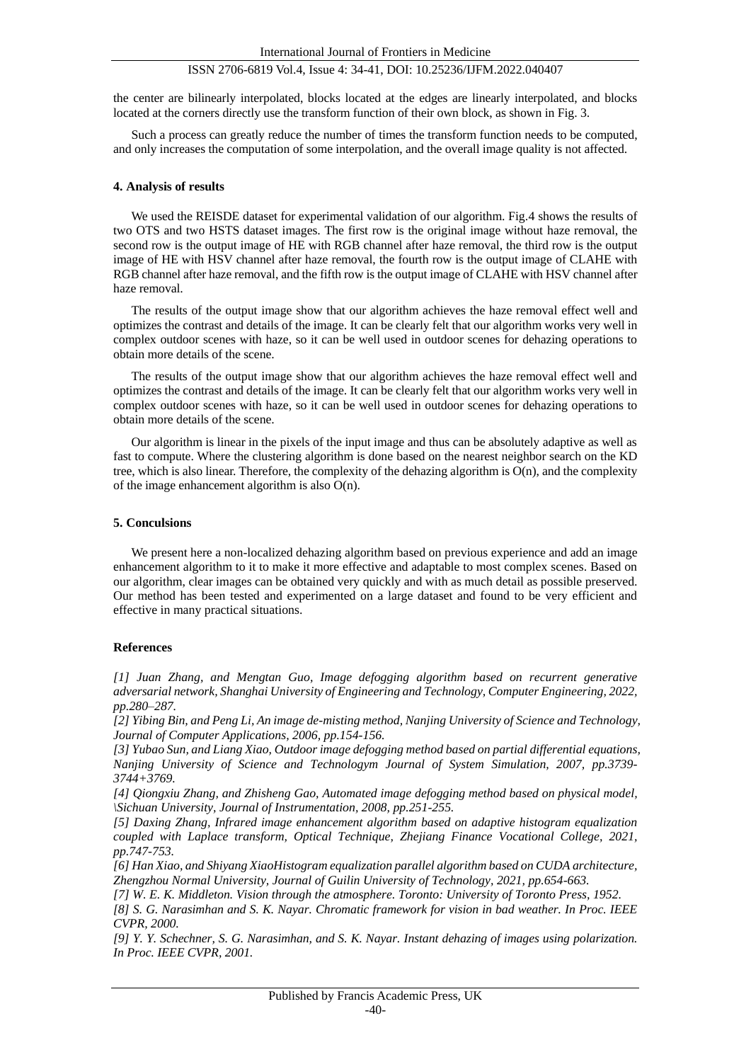the center are bilinearly interpolated, blocks located at the edges are linearly interpolated, and blocks located at the corners directly use the transform function of their own block, as shown in Fig. 3.

Such a process can greatly reduce the number of times the transform function needs to be computed, and only increases the computation of some interpolation, and the overall image quality is not affected.

#### **4. Analysis of results**

We used the REISDE dataset for experimental validation of our algorithm. Fig. 4 shows the results of two OTS and two HSTS dataset images. The first row is the original image without haze removal, the second row is the output image of HE with RGB channel after haze removal, the third row is the output image of HE with HSV channel after haze removal, the fourth row is the output image of CLAHE with RGB channel after haze removal, and the fifth row is the output image of CLAHE with HSV channel after haze removal.

The results of the output image show that our algorithm achieves the haze removal effect well and optimizes the contrast and details of the image. It can be clearly felt that our algorithm works very well in complex outdoor scenes with haze, so it can be well used in outdoor scenes for dehazing operations to obtain more details of the scene.

The results of the output image show that our algorithm achieves the haze removal effect well and optimizes the contrast and details of the image. It can be clearly felt that our algorithm works very well in complex outdoor scenes with haze, so it can be well used in outdoor scenes for dehazing operations to obtain more details of the scene.

Our algorithm is linear in the pixels of the input image and thus can be absolutely adaptive as well as fast to compute. Where the clustering algorithm is done based on the nearest neighbor search on the KD tree, which is also linear. Therefore, the complexity of the dehazing algorithm is O(n), and the complexity of the image enhancement algorithm is also  $O(n)$ .

#### **5. Conculsions**

We present here a non-localized dehazing algorithm based on previous experience and add an image enhancement algorithm to it to make it more effective and adaptable to most complex scenes. Based on our algorithm, clear images can be obtained very quickly and with as much detail as possible preserved. Our method has been tested and experimented on a large dataset and found to be very efficient and effective in many practical situations.

#### **References**

*[1] Juan Zhang, and Mengtan Guo, Image defogging algorithm based on recurrent generative adversarial network, Shanghai University of Engineering and Technology, Computer Engineering, 2022, pp.280–287.*

*[2] Yibing Bin, and Peng Li, An image de-misting method, Nanjing University of Science and Technology, Journal of Computer Applications, 2006, pp.154-156.*

*[3] Yubao Sun, and Liang Xiao, Outdoor image defogging method based on partial differential equations, Nanjing University of Science and Technologym Journal of System Simulation, 2007, pp.3739- 3744+3769.*

*[4] Qiongxiu Zhang, and Zhisheng Gao, Automated image defogging method based on physical model, \Sichuan University, Journal of Instrumentation, 2008, pp.251-255.*

*[5] Daxing Zhang, Infrared image enhancement algorithm based on adaptive histogram equalization coupled with Laplace transform, Optical Technique, Zhejiang Finance Vocational College, 2021, pp.747-753.*

*[6] Han Xiao, and Shiyang XiaoHistogram equalization parallel algorithm based on CUDA architecture, Zhengzhou Normal University, Journal of Guilin University of Technology, 2021, pp.654-663.*

*[7] W. E. K. Middleton. Vision through the atmosphere. Toronto: University of Toronto Press, 1952.*

*[8] S. G. Narasimhan and S. K. Nayar. Chromatic framework for vision in bad weather. In Proc. IEEE CVPR, 2000.*

*[9] Y. Y. Schechner, S. G. Narasimhan, and S. K. Nayar. Instant dehazing of images using polarization. In Proc. IEEE CVPR, 2001.*